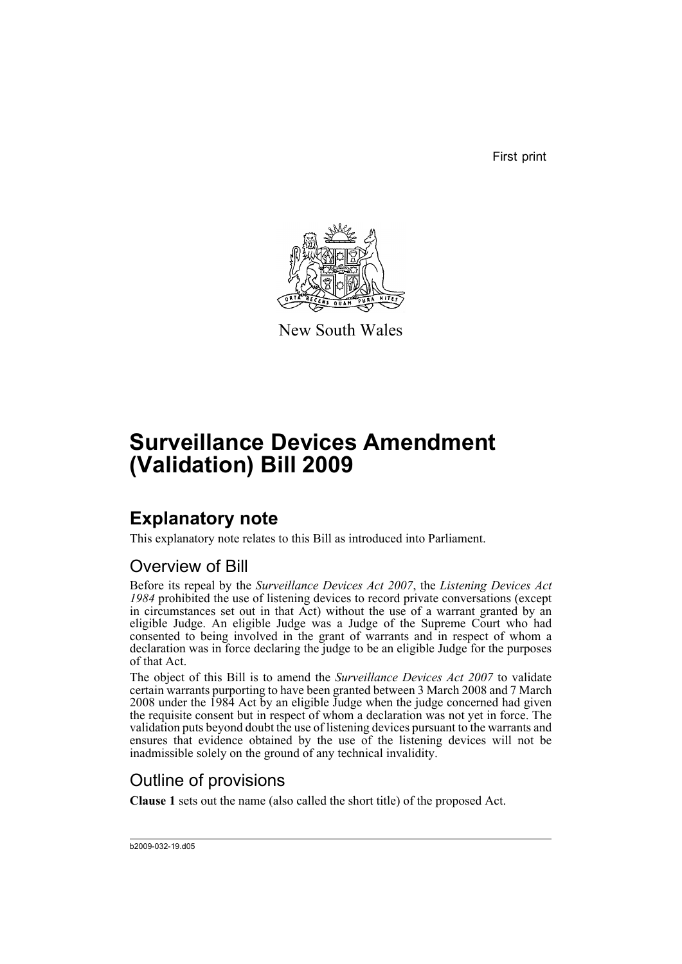First print



New South Wales

# **Surveillance Devices Amendment (Validation) Bill 2009**

### **Explanatory note**

This explanatory note relates to this Bill as introduced into Parliament.

#### Overview of Bill

Before its repeal by the *Surveillance Devices Act 2007*, the *Listening Devices Act 1984* prohibited the use of listening devices to record private conversations (except in circumstances set out in that Act) without the use of a warrant granted by an eligible Judge. An eligible Judge was a Judge of the Supreme Court who had consented to being involved in the grant of warrants and in respect of whom a declaration was in force declaring the judge to be an eligible Judge for the purposes of that Act.

The object of this Bill is to amend the *Surveillance Devices Act 2007* to validate certain warrants purporting to have been granted between 3 March 2008 and 7 March 2008 under the 1984 Act by an eligible Judge when the judge concerned had given the requisite consent but in respect of whom a declaration was not yet in force. The validation puts beyond doubt the use of listening devices pursuant to the warrants and ensures that evidence obtained by the use of the listening devices will not be inadmissible solely on the ground of any technical invalidity.

#### Outline of provisions

**Clause 1** sets out the name (also called the short title) of the proposed Act.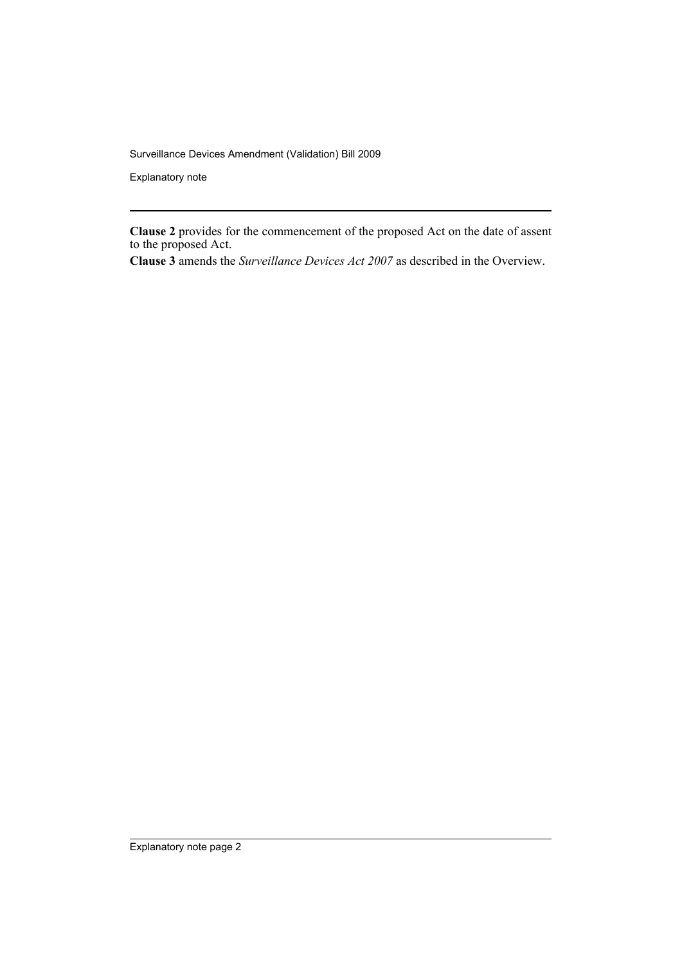Surveillance Devices Amendment (Validation) Bill 2009

Explanatory note

**Clause 2** provides for the commencement of the proposed Act on the date of assent to the proposed Act.

**Clause 3** amends the *Surveillance Devices Act 2007* as described in the Overview.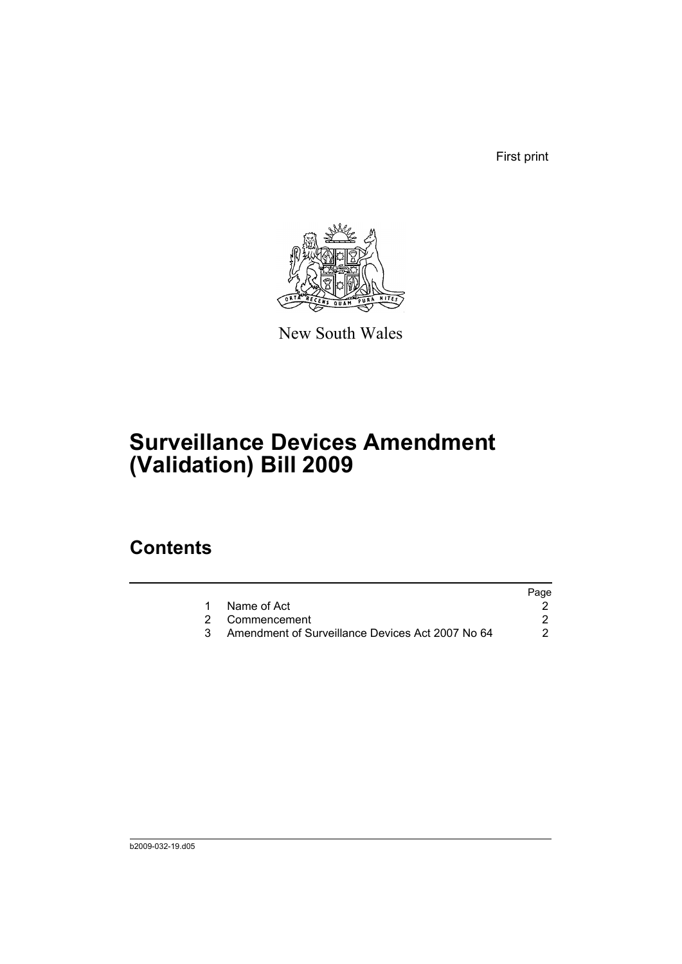First print



New South Wales

# **Surveillance Devices Amendment (Validation) Bill 2009**

### **Contents**

|                                                  | Page |
|--------------------------------------------------|------|
| Name of Act                                      |      |
| 2 Commencement                                   |      |
| Amendment of Surveillance Devices Act 2007 No 64 |      |
|                                                  |      |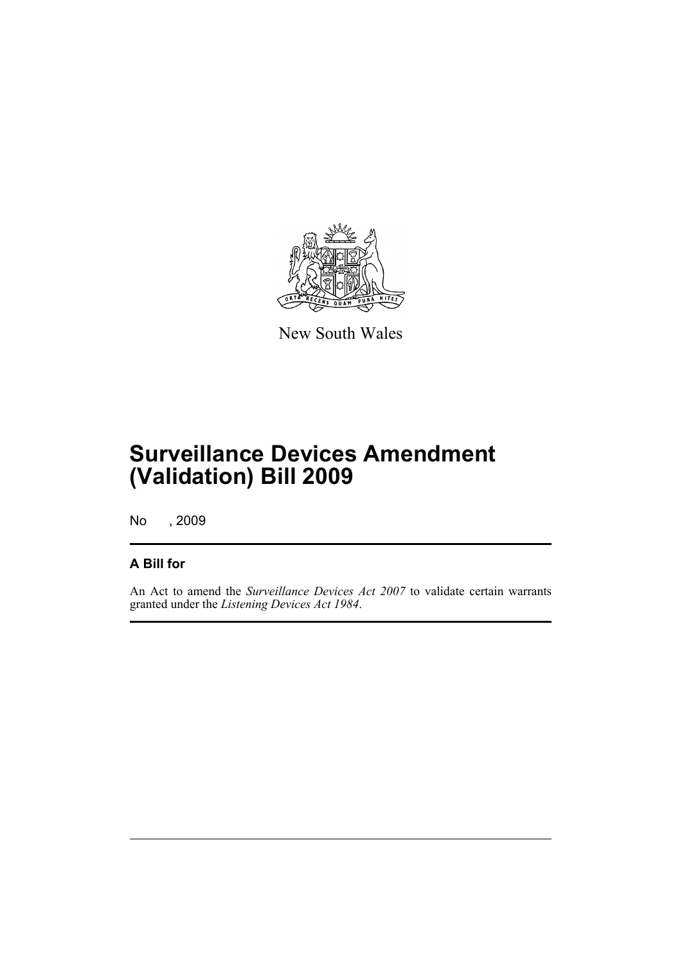

New South Wales

## **Surveillance Devices Amendment (Validation) Bill 2009**

No , 2009

#### **A Bill for**

An Act to amend the *Surveillance Devices Act 2007* to validate certain warrants granted under the *Listening Devices Act 1984*.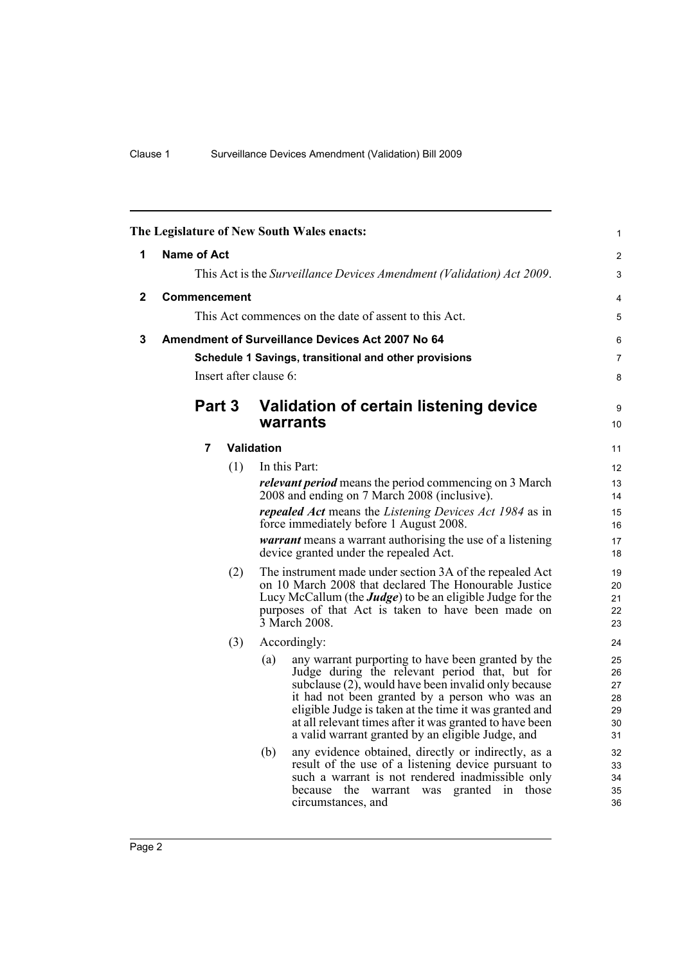<span id="page-5-2"></span><span id="page-5-1"></span><span id="page-5-0"></span>

| The Legislature of New South Wales enacts: |                                                                       |     |                                                                                                               |                                                                                                                            |          |  |
|--------------------------------------------|-----------------------------------------------------------------------|-----|---------------------------------------------------------------------------------------------------------------|----------------------------------------------------------------------------------------------------------------------------|----------|--|
| 1                                          | Name of Act                                                           |     |                                                                                                               |                                                                                                                            |          |  |
|                                            | This Act is the Surveillance Devices Amendment (Validation) Act 2009. |     |                                                                                                               |                                                                                                                            |          |  |
| $\mathbf{2}$                               | <b>Commencement</b>                                                   |     |                                                                                                               |                                                                                                                            |          |  |
|                                            | This Act commences on the date of assent to this Act.                 |     |                                                                                                               |                                                                                                                            |          |  |
| 3                                          | <b>Amendment of Surveillance Devices Act 2007 No 64</b>               |     |                                                                                                               |                                                                                                                            |          |  |
|                                            | Schedule 1 Savings, transitional and other provisions                 |     |                                                                                                               |                                                                                                                            |          |  |
|                                            | Insert after clause 6:                                                |     |                                                                                                               |                                                                                                                            |          |  |
|                                            | Part 3                                                                |     |                                                                                                               | Validation of certain listening device<br>warrants                                                                         | 9<br>10  |  |
|                                            | 7                                                                     |     | Validation                                                                                                    |                                                                                                                            | 11       |  |
|                                            |                                                                       | (1) |                                                                                                               | In this Part:                                                                                                              | 12<br>13 |  |
|                                            |                                                                       |     | <i>relevant period</i> means the period commencing on 3 March<br>2008 and ending on 7 March 2008 (inclusive). |                                                                                                                            |          |  |
|                                            |                                                                       |     |                                                                                                               | <i>repealed Act</i> means the <i>Listening Devices Act 1984</i> as in<br>force immediately before 1 August 2008.           |          |  |
|                                            |                                                                       |     |                                                                                                               | 16<br>17                                                                                                                   |          |  |
|                                            |                                                                       |     |                                                                                                               | <i>warrant</i> means a warrant authorising the use of a listening<br>device granted under the repealed Act.                | 18       |  |
|                                            |                                                                       | (2) | The instrument made under section 3A of the repealed Act                                                      | 19<br>20                                                                                                                   |          |  |
|                                            |                                                                       |     |                                                                                                               | on 10 March 2008 that declared The Honourable Justice<br>Lucy McCallum (the <b>Judge</b> ) to be an eligible Judge for the | 21       |  |
|                                            |                                                                       |     | purposes of that Act is taken to have been made on<br>3 March 2008.                                           |                                                                                                                            | 22<br>23 |  |
|                                            |                                                                       | (3) |                                                                                                               | Accordingly:                                                                                                               | 24       |  |
|                                            |                                                                       |     | (a)                                                                                                           | any warrant purporting to have been granted by the                                                                         | 25       |  |
|                                            |                                                                       |     |                                                                                                               | Judge during the relevant period that, but for<br>subclause (2), would have been invalid only because                      | 26<br>27 |  |
|                                            |                                                                       |     |                                                                                                               | it had not been granted by a person who was an                                                                             | 28       |  |
|                                            |                                                                       |     |                                                                                                               | eligible Judge is taken at the time it was granted and<br>at all relevant times after it was granted to have been          | 29<br>30 |  |
|                                            |                                                                       |     |                                                                                                               | a valid warrant granted by an eligible Judge, and                                                                          | 31       |  |
|                                            |                                                                       |     | (b)                                                                                                           | any evidence obtained, directly or indirectly, as a<br>result of the use of a listening device pursuant to                 | 32<br>33 |  |
|                                            |                                                                       |     |                                                                                                               | such a warrant is not rendered inadmissible only                                                                           | 34       |  |
|                                            |                                                                       |     |                                                                                                               | because the warrant was granted in those<br>circumstances, and                                                             | 35<br>36 |  |